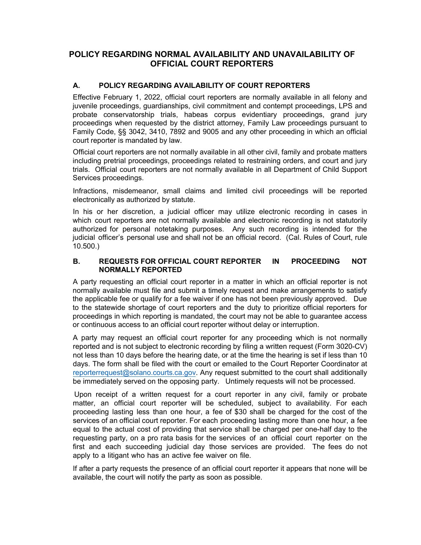## **POLICY REGARDING NORMAL AVAILABILITY AND UNAVAILABILITY OF OFFICIAL COURT REPORTERS**

## **A. POLICY REGARDING AVAILABILITY OF COURT REPORTERS**

Effective February 1, 2022, official court reporters are normally available in all felony and juvenile proceedings, guardianships, civil commitment and contempt proceedings, LPS and probate conservatorship trials, habeas corpus evidentiary proceedings, grand jury proceedings when requested by the district attorney, Family Law proceedings pursuant to Family Code, §§ 3042, 3410, 7892 and 9005 and any other proceeding in which an official court reporter is mandated by law.

Official court reporters are not normally available in all other civil, family and probate matters including pretrial proceedings, proceedings related to restraining orders, and court and jury trials. Official court reporters are not normally available in all Department of Child Support Services proceedings.

Infractions, misdemeanor, small claims and limited civil proceedings will be reported electronically as authorized by statute.

In his or her discretion, a judicial officer may utilize electronic recording in cases in which court reporters are not normally available and electronic recording is not statutorily authorized for personal notetaking purposes. Any such recording is intended for the judicial officer's personal use and shall not be an official record. (Cal. Rules of Court, rule 10.500.)

## **B. REQUESTS FOR OFFICIAL COURT REPORTER IN PROCEEDING NOT NORMALLY REPORTED**

A party requesting an official court reporter in a matter in which an official reporter is not normally available must file and submit a timely request and make arrangements to satisfy the applicable fee or qualify for a fee waiver if one has not been previously approved. Due to the statewide shortage of court reporters and the duty to prioritize official reporters for proceedings in which reporting is mandated, the court may not be able to guarantee access or continuous access to an official court reporter without delay or interruption.

A party may request an official court reporter for any proceeding which is not normally reported and is not subject to electronic recording by filing a written request (Form 3020-CV) not less than 10 days before the hearing date, or at the time the hearing is set if less than 10 days. The form shall be filed with the court or emailed to the Court Reporter Coordinator at [reporterrequest@solano.courts.ca.gov.](mailto:reporterrequest@solano.courts.ca.gov) Any request submitted to the court shall additionally be immediately served on the opposing party. Untimely requests will not be processed.

Upon receipt of a written request for a court reporter in any civil, family or probate matter, an official court reporter will be scheduled, subject to availability. For each proceeding lasting less than one hour, a fee of \$30 shall be charged for the cost of the services of an official court reporter. For each proceeding lasting more than one hour, a fee equal to the actual cost of providing that service shall be charged per one-half day to the requesting party, on a pro rata basis for the services of an official court reporter on the first and each succeeding judicial day those services are provided. The fees do not apply to a litigant who has an active fee waiver on file.

If after a party requests the presence of an official court reporter it appears that none will be available, the court will notify the party as soon as possible.